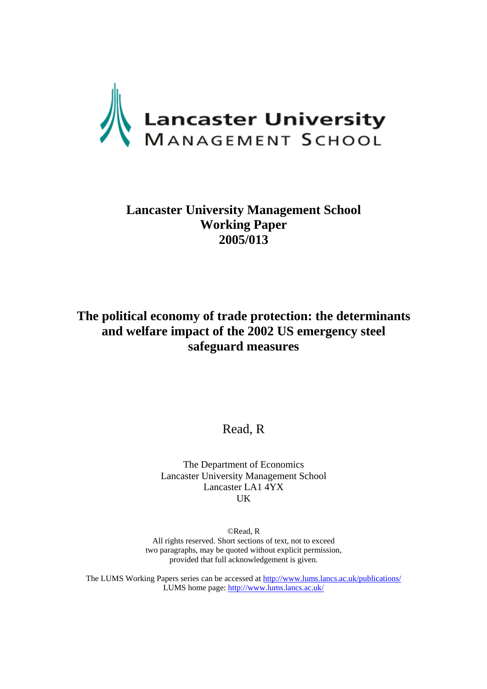

## **Lancaster University Management School Working Paper 2005/013**

## **The political economy of trade protection: the determinants and welfare impact of the 2002 US emergency steel safeguard measures**

Read, R

The Department of Economics Lancaster University Management School Lancaster LA1 4YX UK

©Read, R All rights reserved. Short sections of text, not to exceed two paragraphs, may be quoted without explicit permission, provided that full acknowledgement is given.

The LUMS Working Papers series can be accessed at<http://www.lums.lancs.ac.uk/publications/> LUMS home page: <http://www.lums.lancs.ac.uk/>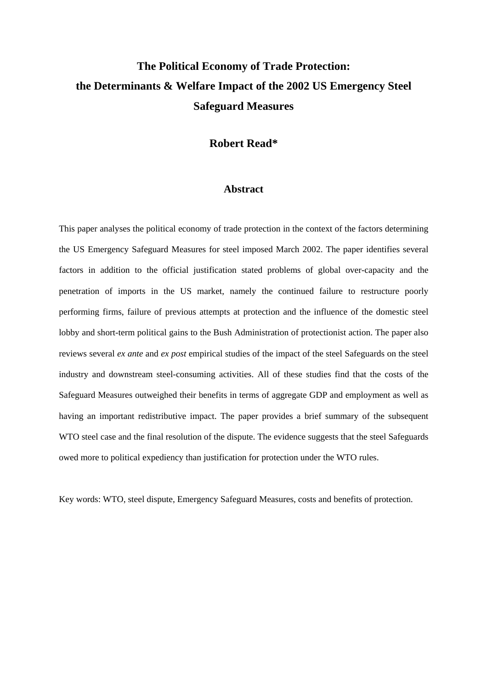# **The Political Economy of Trade Protection: the Determinants & Welfare Impact of the 2002 US Emergency Steel Safeguard Measures**

### **Robert Read\***

### **Abstract**

This paper analyses the political economy of trade protection in the context of the factors determining the US Emergency Safeguard Measures for steel imposed March 2002. The paper identifies several factors in addition to the official justification stated problems of global over-capacity and the penetration of imports in the US market, namely the continued failure to restructure poorly performing firms, failure of previous attempts at protection and the influence of the domestic steel lobby and short-term political gains to the Bush Administration of protectionist action. The paper also reviews several *ex ante* and *ex post* empirical studies of the impact of the steel Safeguards on the steel industry and downstream steel-consuming activities. All of these studies find that the costs of the Safeguard Measures outweighed their benefits in terms of aggregate GDP and employment as well as having an important redistributive impact. The paper provides a brief summary of the subsequent WTO steel case and the final resolution of the dispute. The evidence suggests that the steel Safeguards owed more to political expediency than justification for protection under the WTO rules.

Key words: WTO, steel dispute, Emergency Safeguard Measures, costs and benefits of protection.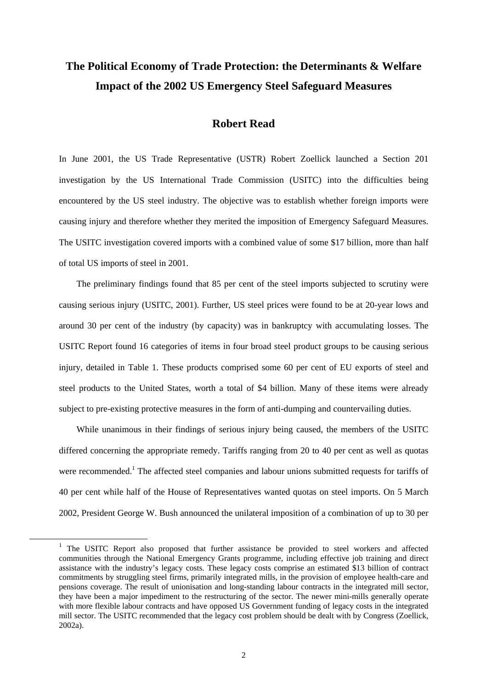## **The Political Economy of Trade Protection: the Determinants & Welfare Impact of the 2002 US Emergency Steel Safeguard Measures**

### **Robert Read**

In June 2001, the US Trade Representative (USTR) Robert Zoellick launched a Section 201 investigation by the US International Trade Commission (USITC) into the difficulties being encountered by the US steel industry. The objective was to establish whether foreign imports were causing injury and therefore whether they merited the imposition of Emergency Safeguard Measures. The USITC investigation covered imports with a combined value of some \$17 billion, more than half of total US imports of steel in 2001.

The preliminary findings found that 85 per cent of the steel imports subjected to scrutiny were causing serious injury (USITC, 2001). Further, US steel prices were found to be at 20-year lows and around 30 per cent of the industry (by capacity) was in bankruptcy with accumulating losses. The USITC Report found 16 categories of items in four broad steel product groups to be causing serious injury, detailed in Table 1. These products comprised some 60 per cent of EU exports of steel and steel products to the United States, worth a total of \$4 billion. Many of these items were already subject to pre-existing protective measures in the form of anti-dumping and countervailing duties.

While unanimous in their findings of serious injury being caused, the members of the USITC differed concerning the appropriate remedy. Tariffs ranging from 20 to 40 per cent as well as quotas were recommended.<sup>[1](#page-2-0)</sup> The affected steel companies and labour unions submitted requests for tariffs of 40 per cent while half of the House of Representatives wanted quotas on steel imports. On 5 March 2002, President George W. Bush announced the unilateral imposition of a combination of up to 30 per

<span id="page-2-0"></span><sup>&</sup>lt;sup>1</sup> The USITC Report also proposed that further assistance be provided to steel workers and affected communities through the National Emergency Grants programme, including effective job training and direct assistance with the industry's legacy costs. These legacy costs comprise an estimated \$13 billion of contract commitments by struggling steel firms, primarily integrated mills, in the provision of employee health-care and pensions coverage. The result of unionisation and long-standing labour contracts in the integrated mill sector, they have been a major impediment to the restructuring of the sector. The newer mini-mills generally operate with more flexible labour contracts and have opposed US Government funding of legacy costs in the integrated mill sector. The USITC recommended that the legacy cost problem should be dealt with by Congress (Zoellick, 2002a).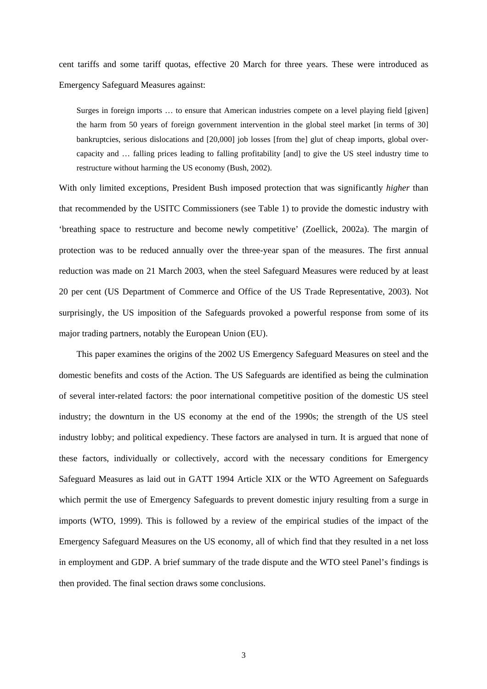cent tariffs and some tariff quotas, effective 20 March for three years. These were introduced as Emergency Safeguard Measures against:

Surges in foreign imports … to ensure that American industries compete on a level playing field [given] the harm from 50 years of foreign government intervention in the global steel market [in terms of 30] bankruptcies, serious dislocations and [20,000] job losses [from the] glut of cheap imports, global overcapacity and … falling prices leading to falling profitability [and] to give the US steel industry time to restructure without harming the US economy (Bush, 2002).

With only limited exceptions, President Bush imposed protection that was significantly *higher* than that recommended by the USITC Commissioners (see Table 1) to provide the domestic industry with 'breathing space to restructure and become newly competitive' (Zoellick, 2002a). The margin of protection was to be reduced annually over the three-year span of the measures. The first annual reduction was made on 21 March 2003, when the steel Safeguard Measures were reduced by at least 20 per cent (US Department of Commerce and Office of the US Trade Representative, 2003). Not surprisingly, the US imposition of the Safeguards provoked a powerful response from some of its major trading partners, notably the European Union (EU).

This paper examines the origins of the 2002 US Emergency Safeguard Measures on steel and the domestic benefits and costs of the Action. The US Safeguards are identified as being the culmination of several inter-related factors: the poor international competitive position of the domestic US steel industry; the downturn in the US economy at the end of the 1990s; the strength of the US steel industry lobby; and political expediency. These factors are analysed in turn. It is argued that none of these factors, individually or collectively, accord with the necessary conditions for Emergency Safeguard Measures as laid out in GATT 1994 Article XIX or the WTO Agreement on Safeguards which permit the use of Emergency Safeguards to prevent domestic injury resulting from a surge in imports (WTO, 1999). This is followed by a review of the empirical studies of the impact of the Emergency Safeguard Measures on the US economy, all of which find that they resulted in a net loss in employment and GDP. A brief summary of the trade dispute and the WTO steel Panel's findings is then provided. The final section draws some conclusions.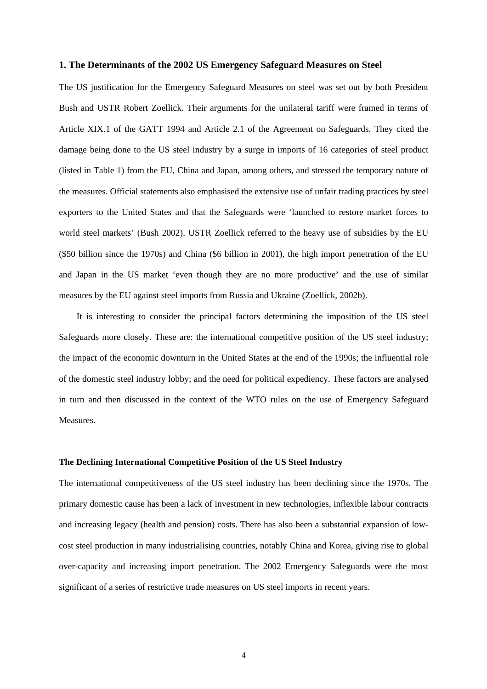#### **1. The Determinants of the 2002 US Emergency Safeguard Measures on Steel**

The US justification for the Emergency Safeguard Measures on steel was set out by both President Bush and USTR Robert Zoellick. Their arguments for the unilateral tariff were framed in terms of Article XIX.1 of the GATT 1994 and Article 2.1 of the Agreement on Safeguards. They cited the damage being done to the US steel industry by a surge in imports of 16 categories of steel product (listed in Table 1) from the EU, China and Japan, among others, and stressed the temporary nature of the measures. Official statements also emphasised the extensive use of unfair trading practices by steel exporters to the United States and that the Safeguards were 'launched to restore market forces to world steel markets' (Bush 2002). USTR Zoellick referred to the heavy use of subsidies by the EU (\$50 billion since the 1970s) and China (\$6 billion in 2001), the high import penetration of the EU and Japan in the US market 'even though they are no more productive' and the use of similar measures by the EU against steel imports from Russia and Ukraine (Zoellick, 2002b).

It is interesting to consider the principal factors determining the imposition of the US steel Safeguards more closely. These are: the international competitive position of the US steel industry; the impact of the economic downturn in the United States at the end of the 1990s; the influential role of the domestic steel industry lobby; and the need for political expediency. These factors are analysed in turn and then discussed in the context of the WTO rules on the use of Emergency Safeguard Measures.

#### **The Declining International Competitive Position of the US Steel Industry**

The international competitiveness of the US steel industry has been declining since the 1970s. The primary domestic cause has been a lack of investment in new technologies, inflexible labour contracts and increasing legacy (health and pension) costs. There has also been a substantial expansion of lowcost steel production in many industrialising countries, notably China and Korea, giving rise to global over-capacity and increasing import penetration. The 2002 Emergency Safeguards were the most significant of a series of restrictive trade measures on US steel imports in recent years.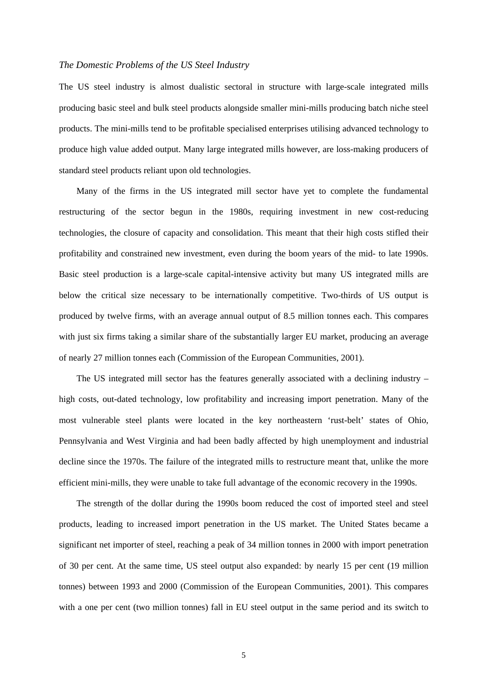#### *The Domestic Problems of the US Steel Industry*

The US steel industry is almost dualistic sectoral in structure with large-scale integrated mills producing basic steel and bulk steel products alongside smaller mini-mills producing batch niche steel products. The mini-mills tend to be profitable specialised enterprises utilising advanced technology to produce high value added output. Many large integrated mills however, are loss-making producers of standard steel products reliant upon old technologies.

Many of the firms in the US integrated mill sector have yet to complete the fundamental restructuring of the sector begun in the 1980s, requiring investment in new cost-reducing technologies, the closure of capacity and consolidation. This meant that their high costs stifled their profitability and constrained new investment, even during the boom years of the mid- to late 1990s. Basic steel production is a large-scale capital-intensive activity but many US integrated mills are below the critical size necessary to be internationally competitive. Two-thirds of US output is produced by twelve firms, with an average annual output of 8.5 million tonnes each. This compares with just six firms taking a similar share of the substantially larger EU market, producing an average of nearly 27 million tonnes each (Commission of the European Communities, 2001).

The US integrated mill sector has the features generally associated with a declining industry – high costs, out-dated technology, low profitability and increasing import penetration. Many of the most vulnerable steel plants were located in the key northeastern 'rust-belt' states of Ohio, Pennsylvania and West Virginia and had been badly affected by high unemployment and industrial decline since the 1970s. The failure of the integrated mills to restructure meant that, unlike the more efficient mini-mills, they were unable to take full advantage of the economic recovery in the 1990s.

The strength of the dollar during the 1990s boom reduced the cost of imported steel and steel products, leading to increased import penetration in the US market. The United States became a significant net importer of steel, reaching a peak of 34 million tonnes in 2000 with import penetration of 30 per cent. At the same time, US steel output also expanded: by nearly 15 per cent (19 million tonnes) between 1993 and 2000 (Commission of the European Communities, 2001). This compares with a one per cent (two million tonnes) fall in EU steel output in the same period and its switch to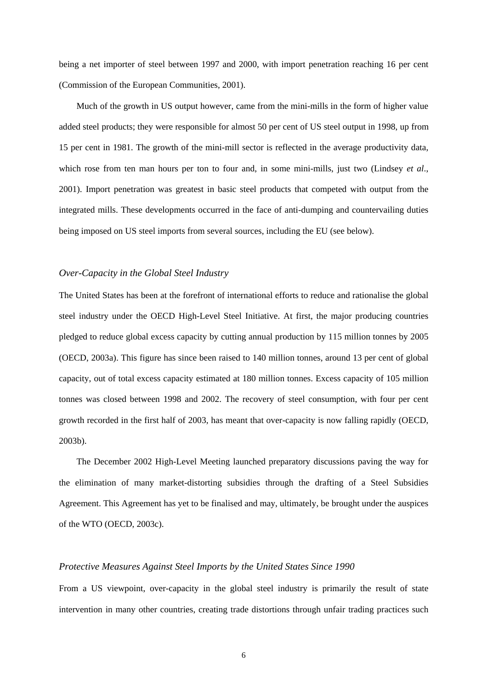being a net importer of steel between 1997 and 2000, with import penetration reaching 16 per cent (Commission of the European Communities, 2001).

Much of the growth in US output however, came from the mini-mills in the form of higher value added steel products; they were responsible for almost 50 per cent of US steel output in 1998, up from 15 per cent in 1981. The growth of the mini-mill sector is reflected in the average productivity data, which rose from ten man hours per ton to four and, in some mini-mills, just two (Lindsey *et al.*, 2001). Import penetration was greatest in basic steel products that competed with output from the integrated mills. These developments occurred in the face of anti-dumping and countervailing duties being imposed on US steel imports from several sources, including the EU (see below).

#### *Over-Capacity in the Global Steel Industry*

The United States has been at the forefront of international efforts to reduce and rationalise the global steel industry under the OECD High-Level Steel Initiative. At first, the major producing countries pledged to reduce global excess capacity by cutting annual production by 115 million tonnes by 2005 (OECD, 2003a). This figure has since been raised to 140 million tonnes, around 13 per cent of global capacity, out of total excess capacity estimated at 180 million tonnes. Excess capacity of 105 million tonnes was closed between 1998 and 2002. The recovery of steel consumption, with four per cent growth recorded in the first half of 2003, has meant that over-capacity is now falling rapidly (OECD, 2003b).

The December 2002 High-Level Meeting launched preparatory discussions paving the way for the elimination of many market-distorting subsidies through the drafting of a Steel Subsidies Agreement. This Agreement has yet to be finalised and may, ultimately, be brought under the auspices of the WTO (OECD, 2003c).

#### *Protective Measures Against Steel Imports by the United States Since 1990*

From a US viewpoint, over-capacity in the global steel industry is primarily the result of state intervention in many other countries, creating trade distortions through unfair trading practices such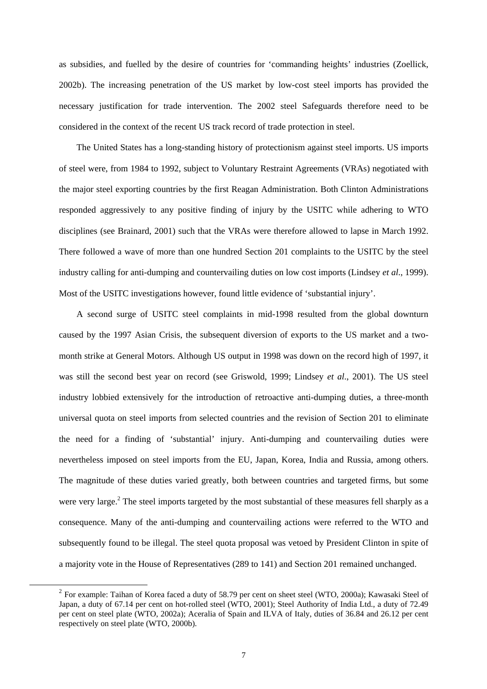as subsidies, and fuelled by the desire of countries for 'commanding heights' industries (Zoellick, 2002b). The increasing penetration of the US market by low-cost steel imports has provided the necessary justification for trade intervention. The 2002 steel Safeguards therefore need to be considered in the context of the recent US track record of trade protection in steel.

The United States has a long-standing history of protectionism against steel imports. US imports of steel were, from 1984 to 1992, subject to Voluntary Restraint Agreements (VRAs) negotiated with the major steel exporting countries by the first Reagan Administration. Both Clinton Administrations responded aggressively to any positive finding of injury by the USITC while adhering to WTO disciplines (see Brainard, 2001) such that the VRAs were therefore allowed to lapse in March 1992. There followed a wave of more than one hundred Section 201 complaints to the USITC by the steel industry calling for anti-dumping and countervailing duties on low cost imports (Lindsey *et al*., 1999). Most of the USITC investigations however, found little evidence of 'substantial injury'.

A second surge of USITC steel complaints in mid-1998 resulted from the global downturn caused by the 1997 Asian Crisis, the subsequent diversion of exports to the US market and a twomonth strike at General Motors. Although US output in 1998 was down on the record high of 1997, it was still the second best year on record (see Griswold, 1999; Lindsey *et al*., 2001). The US steel industry lobbied extensively for the introduction of retroactive anti-dumping duties, a three-month universal quota on steel imports from selected countries and the revision of Section 201 to eliminate the need for a finding of 'substantial' injury. Anti-dumping and countervailing duties were nevertheless imposed on steel imports from the EU, Japan, Korea, India and Russia, among others. The magnitude of these duties varied greatly, both between countries and targeted firms, but some were very large.<sup>[2](#page-7-0)</sup> The steel imports targeted by the most substantial of these measures fell sharply as a consequence. Many of the anti-dumping and countervailing actions were referred to the WTO and subsequently found to be illegal. The steel quota proposal was vetoed by President Clinton in spite of a majority vote in the House of Representatives (289 to 141) and Section 201 remained unchanged.

<span id="page-7-0"></span><sup>&</sup>lt;sup>2</sup> For example: Taihan of Korea faced a duty of 58.79 per cent on sheet steel (WTO, 2000a); Kawasaki Steel of Japan, a duty of 67.14 per cent on hot-rolled steel (WTO, 2001); Steel Authority of India Ltd., a duty of 72.49 per cent on steel plate (WTO, 2002a); Aceralia of Spain and ILVA of Italy, duties of 36.84 and 26.12 per cent respectively on steel plate (WTO, 2000b).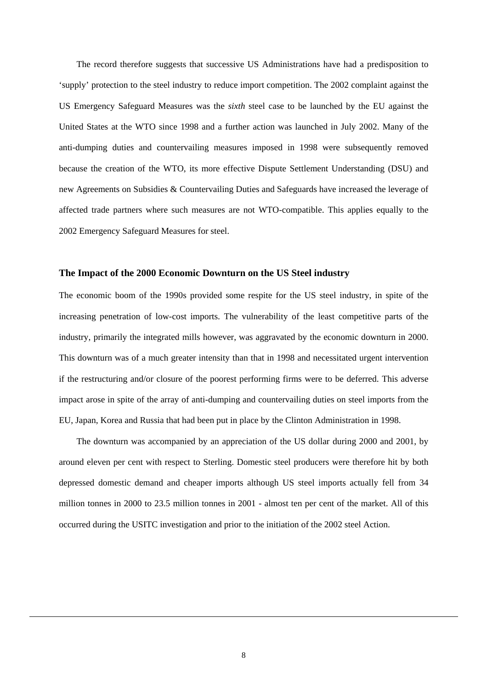The record therefore suggests that successive US Administrations have had a predisposition to 'supply' protection to the steel industry to reduce import competition. The 2002 complaint against the US Emergency Safeguard Measures was the *sixth* steel case to be launched by the EU against the United States at the WTO since 1998 and a further action was launched in July 2002. Many of the anti-dumping duties and countervailing measures imposed in 1998 were subsequently removed because the creation of the WTO, its more effective Dispute Settlement Understanding (DSU) and new Agreements on Subsidies & Countervailing Duties and Safeguards have increased the leverage of affected trade partners where such measures are not WTO-compatible. This applies equally to the 2002 Emergency Safeguard Measures for steel.

#### **The Impact of the 2000 Economic Downturn on the US Steel industry**

The economic boom of the 1990s provided some respite for the US steel industry, in spite of the increasing penetration of low-cost imports. The vulnerability of the least competitive parts of the industry, primarily the integrated mills however, was aggravated by the economic downturn in 2000. This downturn was of a much greater intensity than that in 1998 and necessitated urgent intervention if the restructuring and/or closure of the poorest performing firms were to be deferred. This adverse impact arose in spite of the array of anti-dumping and countervailing duties on steel imports from the EU, Japan, Korea and Russia that had been put in place by the Clinton Administration in 1998.

The downturn was accompanied by an appreciation of the US dollar during 2000 and 2001, by around eleven per cent with respect to Sterling. Domestic steel producers were therefore hit by both depressed domestic demand and cheaper imports although US steel imports actually fell from 34 million tonnes in 2000 to 23.5 million tonnes in 2001 - almost ten per cent of the market. All of this occurred during the USITC investigation and prior to the initiation of the 2002 steel Action.

 $\overline{a}$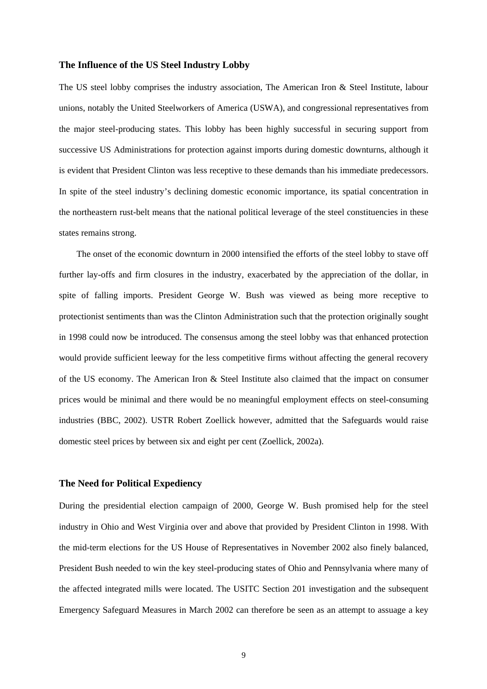#### **The Influence of the US Steel Industry Lobby**

The US steel lobby comprises the industry association, The American Iron & Steel Institute, labour unions, notably the United Steelworkers of America (USWA), and congressional representatives from the major steel-producing states. This lobby has been highly successful in securing support from successive US Administrations for protection against imports during domestic downturns, although it is evident that President Clinton was less receptive to these demands than his immediate predecessors. In spite of the steel industry's declining domestic economic importance, its spatial concentration in the northeastern rust-belt means that the national political leverage of the steel constituencies in these states remains strong.

The onset of the economic downturn in 2000 intensified the efforts of the steel lobby to stave off further lay-offs and firm closures in the industry, exacerbated by the appreciation of the dollar, in spite of falling imports. President George W. Bush was viewed as being more receptive to protectionist sentiments than was the Clinton Administration such that the protection originally sought in 1998 could now be introduced. The consensus among the steel lobby was that enhanced protection would provide sufficient leeway for the less competitive firms without affecting the general recovery of the US economy. The American Iron & Steel Institute also claimed that the impact on consumer prices would be minimal and there would be no meaningful employment effects on steel-consuming industries (BBC, 2002). USTR Robert Zoellick however, admitted that the Safeguards would raise domestic steel prices by between six and eight per cent (Zoellick, 2002a).

#### **The Need for Political Expediency**

During the presidential election campaign of 2000, George W. Bush promised help for the steel industry in Ohio and West Virginia over and above that provided by President Clinton in 1998. With the mid-term elections for the US House of Representatives in November 2002 also finely balanced, President Bush needed to win the key steel-producing states of Ohio and Pennsylvania where many of the affected integrated mills were located. The USITC Section 201 investigation and the subsequent Emergency Safeguard Measures in March 2002 can therefore be seen as an attempt to assuage a key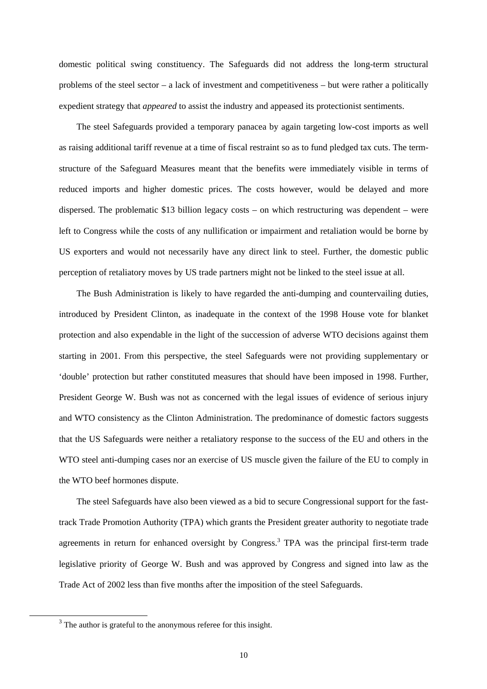domestic political swing constituency. The Safeguards did not address the long-term structural problems of the steel sector – a lack of investment and competitiveness – but were rather a politically expedient strategy that *appeared* to assist the industry and appeased its protectionist sentiments.

The steel Safeguards provided a temporary panacea by again targeting low-cost imports as well as raising additional tariff revenue at a time of fiscal restraint so as to fund pledged tax cuts. The termstructure of the Safeguard Measures meant that the benefits were immediately visible in terms of reduced imports and higher domestic prices. The costs however, would be delayed and more dispersed. The problematic \$13 billion legacy costs – on which restructuring was dependent – were left to Congress while the costs of any nullification or impairment and retaliation would be borne by US exporters and would not necessarily have any direct link to steel. Further, the domestic public perception of retaliatory moves by US trade partners might not be linked to the steel issue at all.

The Bush Administration is likely to have regarded the anti-dumping and countervailing duties, introduced by President Clinton, as inadequate in the context of the 1998 House vote for blanket protection and also expendable in the light of the succession of adverse WTO decisions against them starting in 2001. From this perspective, the steel Safeguards were not providing supplementary or 'double' protection but rather constituted measures that should have been imposed in 1998. Further, President George W. Bush was not as concerned with the legal issues of evidence of serious injury and WTO consistency as the Clinton Administration. The predominance of domestic factors suggests that the US Safeguards were neither a retaliatory response to the success of the EU and others in the WTO steel anti-dumping cases nor an exercise of US muscle given the failure of the EU to comply in the WTO beef hormones dispute.

The steel Safeguards have also been viewed as a bid to secure Congressional support for the fasttrack Trade Promotion Authority (TPA) which grants the President greater authority to negotiate trade agreements in return for enhanced oversight by Congress.<sup>[3](#page-10-0)</sup> TPA was the principal first-term trade legislative priority of George W. Bush and was approved by Congress and signed into law as the Trade Act of 2002 less than five months after the imposition of the steel Safeguards.

<span id="page-10-0"></span> $3<sup>3</sup>$  The author is grateful to the anonymous referee for this insight.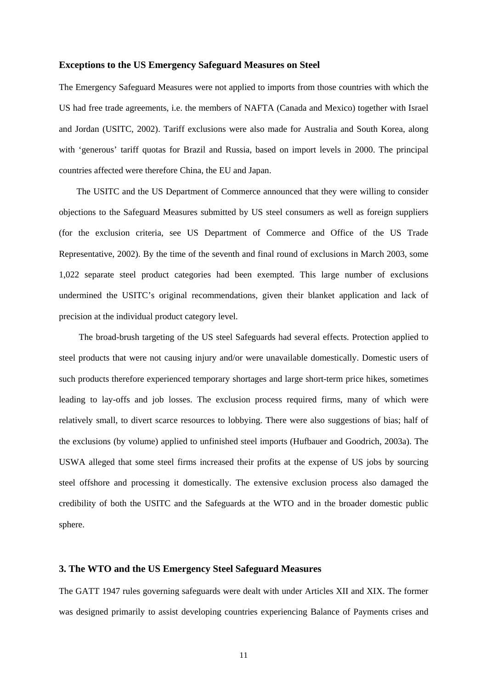#### **Exceptions to the US Emergency Safeguard Measures on Steel**

The Emergency Safeguard Measures were not applied to imports from those countries with which the US had free trade agreements, i.e. the members of NAFTA (Canada and Mexico) together with Israel and Jordan (USITC, 2002). Tariff exclusions were also made for Australia and South Korea, along with 'generous' tariff quotas for Brazil and Russia, based on import levels in 2000. The principal countries affected were therefore China, the EU and Japan.

The USITC and the US Department of Commerce announced that they were willing to consider objections to the Safeguard Measures submitted by US steel consumers as well as foreign suppliers (for the exclusion criteria, see US Department of Commerce and Office of the US Trade Representative, 2002). By the time of the seventh and final round of exclusions in March 2003, some 1,022 separate steel product categories had been exempted. This large number of exclusions undermined the USITC's original recommendations, given their blanket application and lack of precision at the individual product category level.

The broad-brush targeting of the US steel Safeguards had several effects. Protection applied to steel products that were not causing injury and/or were unavailable domestically. Domestic users of such products therefore experienced temporary shortages and large short-term price hikes, sometimes leading to lay-offs and job losses. The exclusion process required firms, many of which were relatively small, to divert scarce resources to lobbying. There were also suggestions of bias; half of the exclusions (by volume) applied to unfinished steel imports (Hufbauer and Goodrich, 2003a). The USWA alleged that some steel firms increased their profits at the expense of US jobs by sourcing steel offshore and processing it domestically. The extensive exclusion process also damaged the credibility of both the USITC and the Safeguards at the WTO and in the broader domestic public sphere.

#### **3. The WTO and the US Emergency Steel Safeguard Measures**

The GATT 1947 rules governing safeguards were dealt with under Articles XII and XIX. The former was designed primarily to assist developing countries experiencing Balance of Payments crises and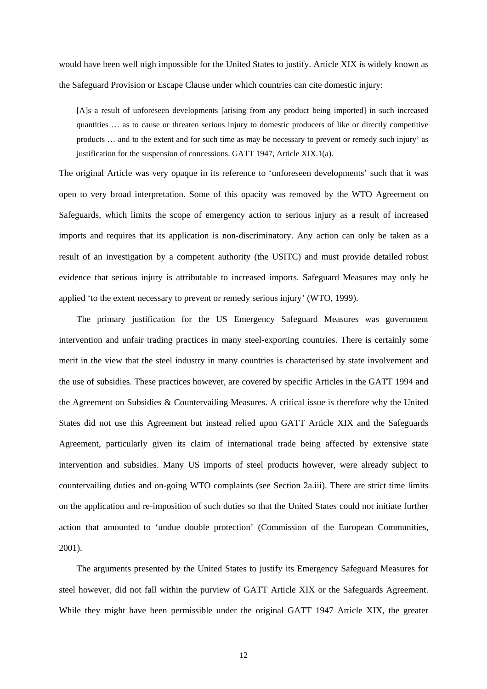would have been well nigh impossible for the United States to justify. Article XIX is widely known as the Safeguard Provision or Escape Clause under which countries can cite domestic injury:

[A]s a result of unforeseen developments [arising from any product being imported] in such increased quantities … as to cause or threaten serious injury to domestic producers of like or directly competitive products … and to the extent and for such time as may be necessary to prevent or remedy such injury' as justification for the suspension of concessions. GATT 1947, Article XIX.1(a).

The original Article was very opaque in its reference to 'unforeseen developments' such that it was open to very broad interpretation. Some of this opacity was removed by the WTO Agreement on Safeguards, which limits the scope of emergency action to serious injury as a result of increased imports and requires that its application is non-discriminatory. Any action can only be taken as a result of an investigation by a competent authority (the USITC) and must provide detailed robust evidence that serious injury is attributable to increased imports. Safeguard Measures may only be applied 'to the extent necessary to prevent or remedy serious injury' (WTO, 1999).

The primary justification for the US Emergency Safeguard Measures was government intervention and unfair trading practices in many steel-exporting countries. There is certainly some merit in the view that the steel industry in many countries is characterised by state involvement and the use of subsidies. These practices however, are covered by specific Articles in the GATT 1994 and the Agreement on Subsidies & Countervailing Measures. A critical issue is therefore why the United States did not use this Agreement but instead relied upon GATT Article XIX and the Safeguards Agreement, particularly given its claim of international trade being affected by extensive state intervention and subsidies. Many US imports of steel products however, were already subject to countervailing duties and on-going WTO complaints (see Section 2a.iii). There are strict time limits on the application and re-imposition of such duties so that the United States could not initiate further action that amounted to 'undue double protection' (Commission of the European Communities, 2001).

The arguments presented by the United States to justify its Emergency Safeguard Measures for steel however, did not fall within the purview of GATT Article XIX or the Safeguards Agreement. While they might have been permissible under the original GATT 1947 Article XIX, the greater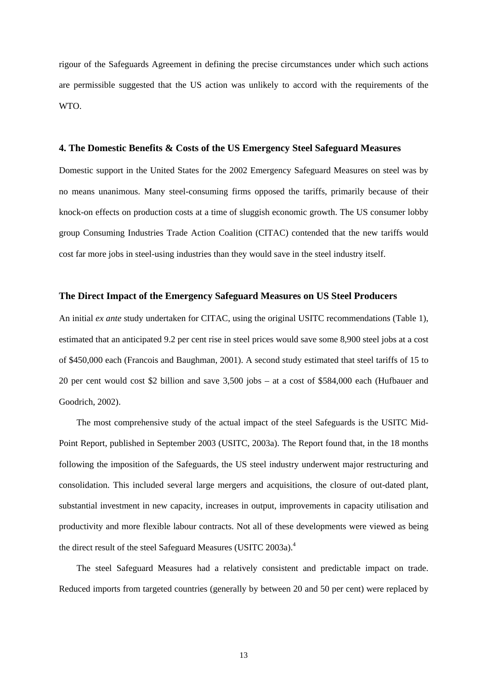rigour of the Safeguards Agreement in defining the precise circumstances under which such actions are permissible suggested that the US action was unlikely to accord with the requirements of the WTO.

#### **4. The Domestic Benefits & Costs of the US Emergency Steel Safeguard Measures**

Domestic support in the United States for the 2002 Emergency Safeguard Measures on steel was by no means unanimous. Many steel-consuming firms opposed the tariffs, primarily because of their knock-on effects on production costs at a time of sluggish economic growth. The US consumer lobby group Consuming Industries Trade Action Coalition (CITAC) contended that the new tariffs would cost far more jobs in steel-using industries than they would save in the steel industry itself.

#### **The Direct Impact of the Emergency Safeguard Measures on US Steel Producers**

An initial *ex ante* study undertaken for CITAC, using the original USITC recommendations (Table 1), estimated that an anticipated 9.2 per cent rise in steel prices would save some 8,900 steel jobs at a cost of \$450,000 each (Francois and Baughman, 2001). A second study estimated that steel tariffs of 15 to 20 per cent would cost \$2 billion and save 3,500 jobs – at a cost of \$584,000 each (Hufbauer and Goodrich, 2002).

The most comprehensive study of the actual impact of the steel Safeguards is the USITC Mid-Point Report, published in September 2003 (USITC, 2003a). The Report found that, in the 18 months following the imposition of the Safeguards, the US steel industry underwent major restructuring and consolidation. This included several large mergers and acquisitions, the closure of out-dated plant, substantial investment in new capacity, increases in output, improvements in capacity utilisation and productivity and more flexible labour contracts. Not all of these developments were viewed as being the direct result of the steel Safeguard Measures (USITC 2003a).<sup>[4](#page-13-0)</sup>

<span id="page-13-0"></span>The steel Safeguard Measures had a relatively consistent and predictable impact on trade. Reduced imports from targeted countries (generally by between 20 and 50 per cent) were replaced by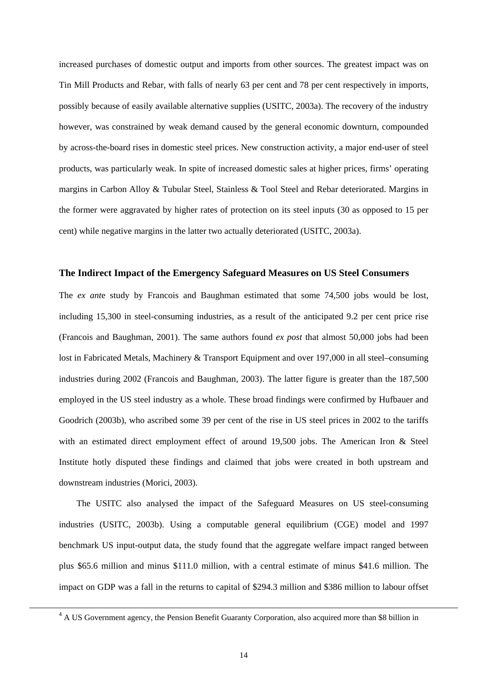increased purchases of domestic output and imports from other sources. The greatest impact was on Tin Mill Products and Rebar, with falls of nearly 63 per cent and 78 per cent respectively in imports, possibly because of easily available alternative supplies (USITC, 2003a). The recovery of the industry however, was constrained by weak demand caused by the general economic downturn, compounded by across-the-board rises in domestic steel prices. New construction activity, a major end-user of steel products, was particularly weak. In spite of increased domestic sales at higher prices, firms' operating margins in Carbon Alloy & Tubular Steel, Stainless & Tool Steel and Rebar deteriorated. Margins in the former were aggravated by higher rates of protection on its steel inputs (30 as opposed to 15 per cent) while negative margins in the latter two actually deteriorated (USITC, 2003a).

#### **The Indirect Impact of the Emergency Safeguard Measures on US Steel Consumers**

The *ex ant*e study by Francois and Baughman estimated that some 74,500 jobs would be lost, including 15,300 in steel-consuming industries, as a result of the anticipated 9.2 per cent price rise (Francois and Baughman, 2001). The same authors found *ex post* that almost 50,000 jobs had been lost in Fabricated Metals, Machinery & Transport Equipment and over 197,000 in all steel–consuming industries during 2002 (Francois and Baughman, 2003). The latter figure is greater than the 187,500 employed in the US steel industry as a whole. These broad findings were confirmed by Hufbauer and Goodrich (2003b), who ascribed some 39 per cent of the rise in US steel prices in 2002 to the tariffs with an estimated direct employment effect of around 19,500 jobs. The American Iron & Steel Institute hotly disputed these findings and claimed that jobs were created in both upstream and downstream industries (Morici, 2003).

The USITC also analysed the impact of the Safeguard Measures on US steel-consuming industries (USITC, 2003b). Using a computable general equilibrium (CGE) model and 1997 benchmark US input-output data, the study found that the aggregate welfare impact ranged between plus \$65.6 million and minus \$111.0 million, with a central estimate of minus \$41.6 million. The impact on GDP was a fall in the returns to capital of \$294.3 million and \$386 million to labour offset

 <sup>4</sup> <sup>4</sup> A US Government agency, the Pension Benefit Guaranty Corporation, also acquired more than \$8 billion in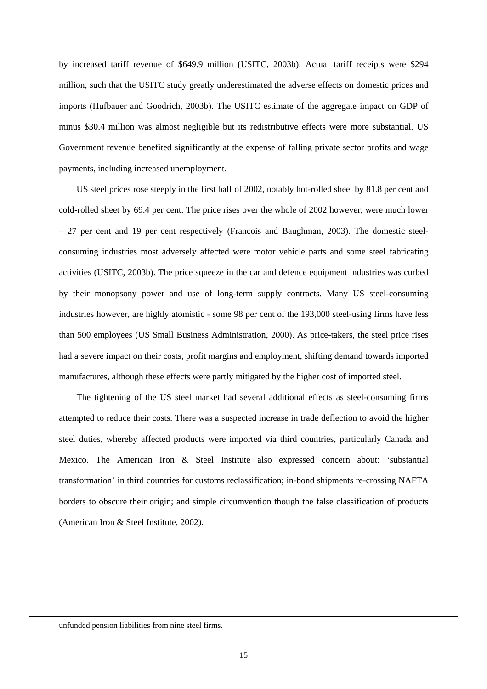by increased tariff revenue of \$649.9 million (USITC, 2003b). Actual tariff receipts were \$294 million, such that the USITC study greatly underestimated the adverse effects on domestic prices and imports (Hufbauer and Goodrich, 2003b). The USITC estimate of the aggregate impact on GDP of minus \$30.4 million was almost negligible but its redistributive effects were more substantial. US Government revenue benefited significantly at the expense of falling private sector profits and wage payments, including increased unemployment.

US steel prices rose steeply in the first half of 2002, notably hot-rolled sheet by 81.8 per cent and cold-rolled sheet by 69.4 per cent. The price rises over the whole of 2002 however, were much lower – 27 per cent and 19 per cent respectively (Francois and Baughman, 2003). The domestic steelconsuming industries most adversely affected were motor vehicle parts and some steel fabricating activities (USITC, 2003b). The price squeeze in the car and defence equipment industries was curbed by their monopsony power and use of long-term supply contracts. Many US steel-consuming industries however, are highly atomistic - some 98 per cent of the 193,000 steel-using firms have less than 500 employees (US Small Business Administration, 2000). As price-takers, the steel price rises had a severe impact on their costs, profit margins and employment, shifting demand towards imported manufactures, although these effects were partly mitigated by the higher cost of imported steel.

The tightening of the US steel market had several additional effects as steel-consuming firms attempted to reduce their costs. There was a suspected increase in trade deflection to avoid the higher steel duties, whereby affected products were imported via third countries, particularly Canada and Mexico. The American Iron & Steel Institute also expressed concern about: 'substantial transformation' in third countries for customs reclassification; in-bond shipments re-crossing NAFTA borders to obscure their origin; and simple circumvention though the false classification of products (American Iron & Steel Institute, 2002).

unfunded pension liabilities from nine steel firms.

 $\overline{a}$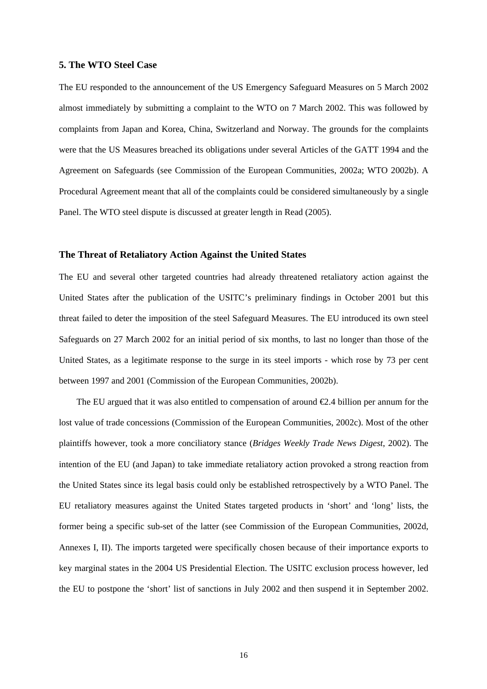#### **5. The WTO Steel Case**

The EU responded to the announcement of the US Emergency Safeguard Measures on 5 March 2002 almost immediately by submitting a complaint to the WTO on 7 March 2002. This was followed by complaints from Japan and Korea, China, Switzerland and Norway. The grounds for the complaints were that the US Measures breached its obligations under several Articles of the GATT 1994 and the Agreement on Safeguards (see Commission of the European Communities, 2002a; WTO 2002b). A Procedural Agreement meant that all of the complaints could be considered simultaneously by a single Panel. The WTO steel dispute is discussed at greater length in Read (2005).

#### **The Threat of Retaliatory Action Against the United States**

The EU and several other targeted countries had already threatened retaliatory action against the United States after the publication of the USITC's preliminary findings in October 2001 but this threat failed to deter the imposition of the steel Safeguard Measures. The EU introduced its own steel Safeguards on 27 March 2002 for an initial period of six months, to last no longer than those of the United States, as a legitimate response to the surge in its steel imports - which rose by 73 per cent between 1997 and 2001 (Commission of the European Communities, 2002b).

The EU argued that it was also entitled to compensation of around  $\epsilon 2.4$  billion per annum for the lost value of trade concessions (Commission of the European Communities, 2002c). Most of the other plaintiffs however, took a more conciliatory stance (*Bridges Weekly Trade News Digest*, 2002). The intention of the EU (and Japan) to take immediate retaliatory action provoked a strong reaction from the United States since its legal basis could only be established retrospectively by a WTO Panel. The EU retaliatory measures against the United States targeted products in 'short' and 'long' lists, the former being a specific sub-set of the latter (see Commission of the European Communities, 2002d, Annexes I, II). The imports targeted were specifically chosen because of their importance exports to key marginal states in the 2004 US Presidential Election. The USITC exclusion process however, led the EU to postpone the 'short' list of sanctions in July 2002 and then suspend it in September 2002.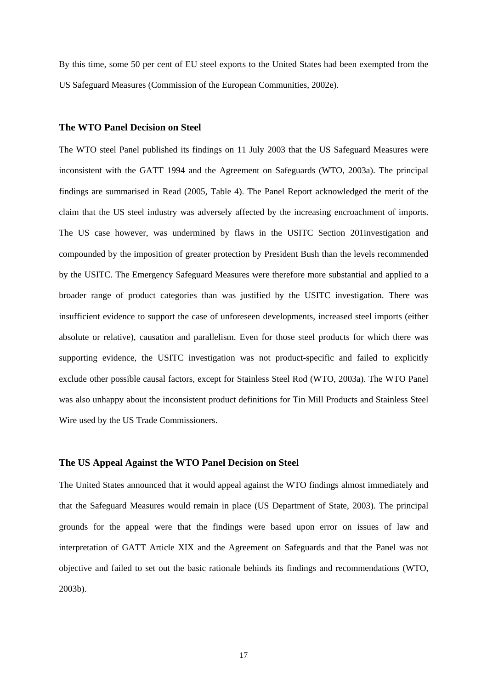By this time, some 50 per cent of EU steel exports to the United States had been exempted from the US Safeguard Measures (Commission of the European Communities, 2002e).

#### **The WTO Panel Decision on Steel**

The WTO steel Panel published its findings on 11 July 2003 that the US Safeguard Measures were inconsistent with the GATT 1994 and the Agreement on Safeguards (WTO, 2003a). The principal findings are summarised in Read (2005, Table 4). The Panel Report acknowledged the merit of the claim that the US steel industry was adversely affected by the increasing encroachment of imports. The US case however, was undermined by flaws in the USITC Section 201investigation and compounded by the imposition of greater protection by President Bush than the levels recommended by the USITC. The Emergency Safeguard Measures were therefore more substantial and applied to a broader range of product categories than was justified by the USITC investigation. There was insufficient evidence to support the case of unforeseen developments, increased steel imports (either absolute or relative), causation and parallelism. Even for those steel products for which there was supporting evidence, the USITC investigation was not product-specific and failed to explicitly exclude other possible causal factors, except for Stainless Steel Rod (WTO, 2003a). The WTO Panel was also unhappy about the inconsistent product definitions for Tin Mill Products and Stainless Steel Wire used by the US Trade Commissioners.

#### **The US Appeal Against the WTO Panel Decision on Steel**

The United States announced that it would appeal against the WTO findings almost immediately and that the Safeguard Measures would remain in place (US Department of State, 2003). The principal grounds for the appeal were that the findings were based upon error on issues of law and interpretation of GATT Article XIX and the Agreement on Safeguards and that the Panel was not objective and failed to set out the basic rationale behinds its findings and recommendations (WTO, 2003b).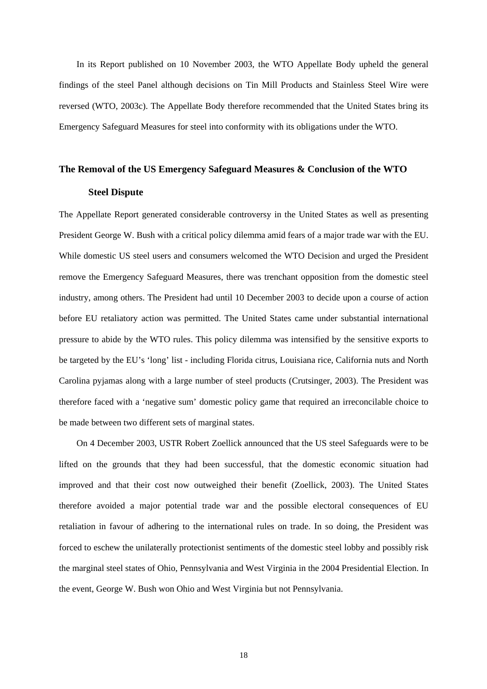In its Report published on 10 November 2003, the WTO Appellate Body upheld the general findings of the steel Panel although decisions on Tin Mill Products and Stainless Steel Wire were reversed (WTO, 2003c). The Appellate Body therefore recommended that the United States bring its Emergency Safeguard Measures for steel into conformity with its obligations under the WTO.

#### **The Removal of the US Emergency Safeguard Measures & Conclusion of the WTO**

#### **Steel Dispute**

The Appellate Report generated considerable controversy in the United States as well as presenting President George W. Bush with a critical policy dilemma amid fears of a major trade war with the EU. While domestic US steel users and consumers welcomed the WTO Decision and urged the President remove the Emergency Safeguard Measures, there was trenchant opposition from the domestic steel industry, among others. The President had until 10 December 2003 to decide upon a course of action before EU retaliatory action was permitted. The United States came under substantial international pressure to abide by the WTO rules. This policy dilemma was intensified by the sensitive exports to be targeted by the EU's 'long' list - including Florida citrus, Louisiana rice, California nuts and North Carolina pyjamas along with a large number of steel products (Crutsinger, 2003). The President was therefore faced with a 'negative sum' domestic policy game that required an irreconcilable choice to be made between two different sets of marginal states.

On 4 December 2003, USTR Robert Zoellick announced that the US steel Safeguards were to be lifted on the grounds that they had been successful, that the domestic economic situation had improved and that their cost now outweighed their benefit (Zoellick, 2003). The United States therefore avoided a major potential trade war and the possible electoral consequences of EU retaliation in favour of adhering to the international rules on trade. In so doing, the President was forced to eschew the unilaterally protectionist sentiments of the domestic steel lobby and possibly risk the marginal steel states of Ohio, Pennsylvania and West Virginia in the 2004 Presidential Election. In the event, George W. Bush won Ohio and West Virginia but not Pennsylvania.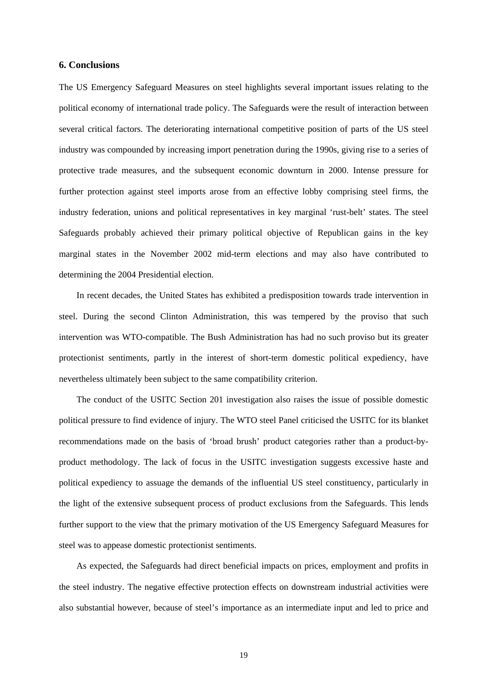#### **6. Conclusions**

The US Emergency Safeguard Measures on steel highlights several important issues relating to the political economy of international trade policy. The Safeguards were the result of interaction between several critical factors. The deteriorating international competitive position of parts of the US steel industry was compounded by increasing import penetration during the 1990s, giving rise to a series of protective trade measures, and the subsequent economic downturn in 2000. Intense pressure for further protection against steel imports arose from an effective lobby comprising steel firms, the industry federation, unions and political representatives in key marginal 'rust-belt' states. The steel Safeguards probably achieved their primary political objective of Republican gains in the key marginal states in the November 2002 mid-term elections and may also have contributed to determining the 2004 Presidential election.

In recent decades, the United States has exhibited a predisposition towards trade intervention in steel. During the second Clinton Administration, this was tempered by the proviso that such intervention was WTO-compatible. The Bush Administration has had no such proviso but its greater protectionist sentiments, partly in the interest of short-term domestic political expediency, have nevertheless ultimately been subject to the same compatibility criterion.

The conduct of the USITC Section 201 investigation also raises the issue of possible domestic political pressure to find evidence of injury. The WTO steel Panel criticised the USITC for its blanket recommendations made on the basis of 'broad brush' product categories rather than a product-byproduct methodology. The lack of focus in the USITC investigation suggests excessive haste and political expediency to assuage the demands of the influential US steel constituency, particularly in the light of the extensive subsequent process of product exclusions from the Safeguards. This lends further support to the view that the primary motivation of the US Emergency Safeguard Measures for steel was to appease domestic protectionist sentiments.

As expected, the Safeguards had direct beneficial impacts on prices, employment and profits in the steel industry. The negative effective protection effects on downstream industrial activities were also substantial however, because of steel's importance as an intermediate input and led to price and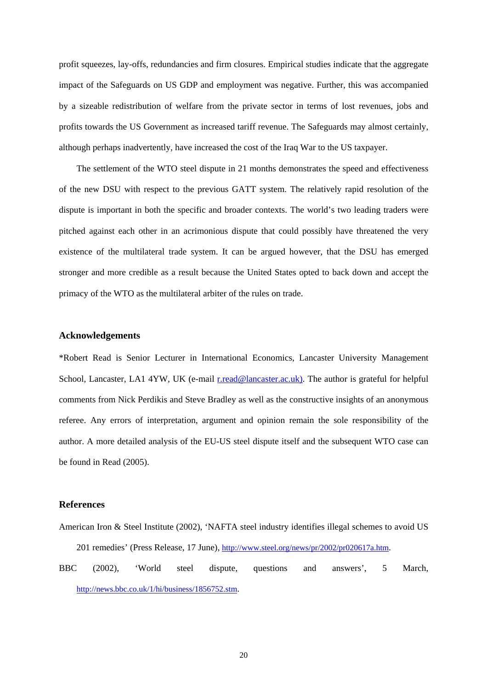profit squeezes, lay-offs, redundancies and firm closures. Empirical studies indicate that the aggregate impact of the Safeguards on US GDP and employment was negative. Further, this was accompanied by a sizeable redistribution of welfare from the private sector in terms of lost revenues, jobs and profits towards the US Government as increased tariff revenue. The Safeguards may almost certainly, although perhaps inadvertently, have increased the cost of the Iraq War to the US taxpayer.

The settlement of the WTO steel dispute in 21 months demonstrates the speed and effectiveness of the new DSU with respect to the previous GATT system. The relatively rapid resolution of the dispute is important in both the specific and broader contexts. The world's two leading traders were pitched against each other in an acrimonious dispute that could possibly have threatened the very existence of the multilateral trade system. It can be argued however, that the DSU has emerged stronger and more credible as a result because the United States opted to back down and accept the primacy of the WTO as the multilateral arbiter of the rules on trade.

#### **Acknowledgements**

\*Robert Read is Senior Lecturer in International Economics, Lancaster University Management School, Lancaster, LA1 4YW, UK (e-mail [r.read@lancaster.ac.uk\).](mailto:r.read@lancaster,.ac.uk)) The author is grateful for helpful comments from Nick Perdikis and Steve Bradley as well as the constructive insights of an anonymous referee. Any errors of interpretation, argument and opinion remain the sole responsibility of the author. A more detailed analysis of the EU-US steel dispute itself and the subsequent WTO case can be found in Read (2005).

#### **References**

- American Iron & Steel Institute (2002), 'NAFTA steel industry identifies illegal schemes to avoid US 201 remedies' (Press Release, 17 June), http://www.steel.org/news/pr/2002/pr020617a.htm.
- BBC (2002), 'World steel dispute, questions and answers', 5 March, [http://news.bbc.co.uk/1/hi/business/1856752.stm.](http://news.bbc.co.uk/1/hi/business/1856752.stm)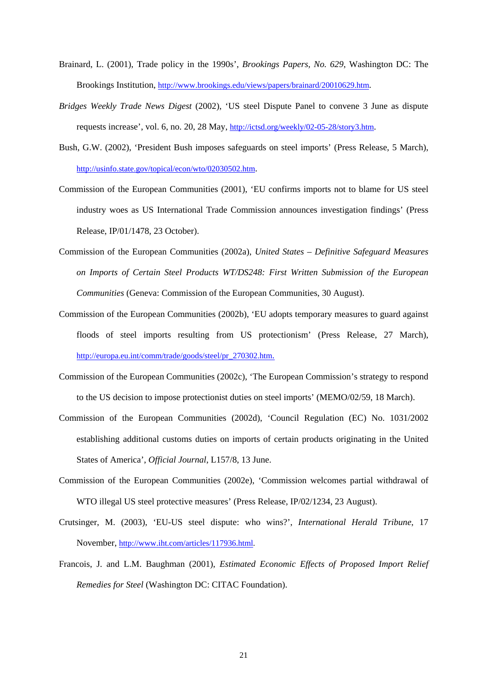- Brainard, L. (2001), Trade policy in the 1990s', *Brookings Papers, No. 629*, Washington DC: The Brookings Institution,<http://www.brookings.edu/views/papers/brainard/20010629.htm>.
- *Bridges Weekly Trade News Digest* (2002), 'US steel Dispute Panel to convene 3 June as dispute requests increase', vol. 6, no. 20, 28 May, [http://ictsd.org/weekly/02-05-28/story3.htm.](http://ictsd.org/weekly/02-05-28/story3.htm)
- Bush, G.W. (2002), 'President Bush imposes safeguards on steel imports' (Press Release, 5 March), [http://usinfo.state.gov/topical/econ/wto/02030502.htm.](http://usinfo.state.gov/topical/econ/wto/02030502.htm)
- Commission of the European Communities (2001), 'EU confirms imports not to blame for US steel industry woes as US International Trade Commission announces investigation findings' (Press Release, IP/01/1478, 23 October).
- Commission of the European Communities (2002a), *United States Definitive Safeguard Measures on Imports of Certain Steel Products WT/DS248: First Written Submission of the European Communities* (Geneva: Commission of the European Communities, 30 August).
- Commission of the European Communities (2002b), 'EU adopts temporary measures to guard against floods of steel imports resulting from US protectionism' (Press Release, 27 March), [http://europa.eu.int/comm/trade/goods/steel/pr\\_270302.htm.](http://europa.eu.int/comm/trade/goods/steel/pr_270302.htm)
- Commission of the European Communities (2002c), 'The European Commission's strategy to respond to the US decision to impose protectionist duties on steel imports' (MEMO/02/59, 18 March).
- Commission of the European Communities (2002d), 'Council Regulation (EC) No. 1031/2002 establishing additional customs duties on imports of certain products originating in the United States of America', *Official Journal*, L157/8, 13 June.
- Commission of the European Communities (2002e), 'Commission welcomes partial withdrawal of WTO illegal US steel protective measures' (Press Release, IP/02/1234, 23 August).
- Crutsinger, M. (2003), 'EU-US steel dispute: who wins?', *International Herald Tribune*, 17 November, http://www.iht.com/articles/117936.html.
- Francois, J. and L.M. Baughman (2001), *Estimated Economic Effects of Proposed Import Relief Remedies for Steel* (Washington DC: CITAC Foundation).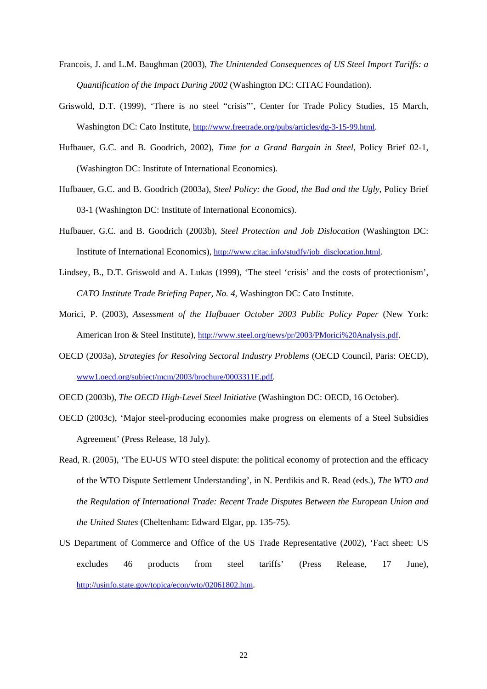- Francois, J. and L.M. Baughman (2003), *The Unintended Consequences of US Steel Import Tariffs: a Quantification of the Impact During 2002* (Washington DC: CITAC Foundation).
- Griswold, D.T. (1999), 'There is no steel "crisis"', Center for Trade Policy Studies, 15 March, Washington DC: Cato Institute, http://www.freetrade.org/pubs/articles/dg-3-15-99.html.
- Hufbauer, G.C. and B. Goodrich, 2002), *Time for a Grand Bargain in Steel*, Policy Brief 02-1, (Washington DC: Institute of International Economics).
- Hufbauer, G.C. and B. Goodrich (2003a), *Steel Policy: the Good, the Bad and the Ugly*, Policy Brief 03-1 (Washington DC: Institute of International Economics).
- Hufbauer, G.C. and B. Goodrich (2003b), *Steel Protection and Job Dislocation* (Washington DC: Institute of International Economics), [http://www.citac.info/studfy/job\\_disclocation.html.](http://www.citac.info/studfy/job_disclocation.html)
- Lindsey, B., D.T. Griswold and A. Lukas (1999), 'The steel 'crisis' and the costs of protectionism', *CATO Institute Trade Briefing Paper, No. 4*, Washington DC: Cato Institute.
- Morici, P. (2003), *Assessment of the Hufbauer October 2003 Public Policy Paper* (New York: American Iron & Steel Institute), http://www.steel.org/news/pr/2003/PMorici%20Analysis.pdf.
- OECD (2003a), *Strategies for Resolving Sectoral Industry Problems* (OECD Council, Paris: OECD), www1.oecd.org/subject/mcm/2003/brochure/0003311E.pdf.
- OECD (2003b), *The OECD High-Level Steel Initiative* (Washington DC: OECD, 16 October).
- OECD (2003c), 'Major steel-producing economies make progress on elements of a Steel Subsidies Agreement' (Press Release, 18 July).
- Read, R. (2005), 'The EU-US WTO steel dispute: the political economy of protection and the efficacy of the WTO Dispute Settlement Understanding', in N. Perdikis and R. Read (eds.), *The WTO and the Regulation of International Trade: Recent Trade Disputes Between the European Union and the United States* (Cheltenham: Edward Elgar, pp. 135-75).
- US Department of Commerce and Office of the US Trade Representative (2002), 'Fact sheet: US excludes 46 products from steel tariffs' (Press Release, 17 June), [http://usinfo.state.gov/topica/econ/wto/02061802.htm.](http://usinfo.state.gov/topica/econ/wto/02061802.htm)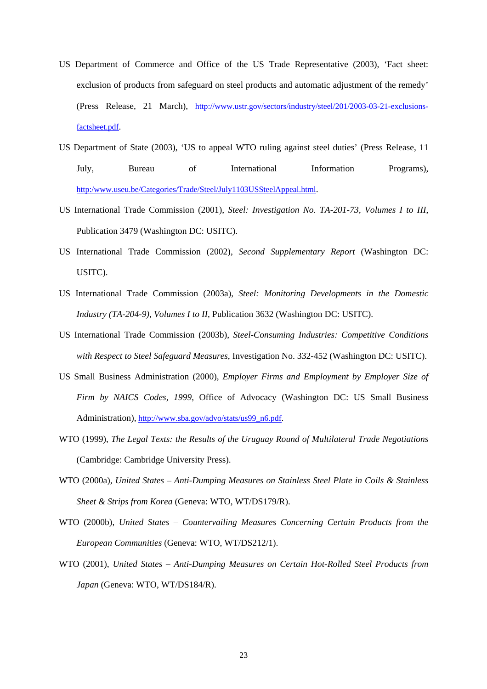- US Department of Commerce and Office of the US Trade Representative (2003), 'Fact sheet: exclusion of products from safeguard on steel products and automatic adjustment of the remedy' (Press Release, 21 March), http://www.ustr.gov/sectors/industry/steel/201/2003-03-21-exclusionsfactsheet.pdf.
- US Department of State (2003), 'US to appeal WTO ruling against steel duties' (Press Release, 11 July, Bureau of International Information Programs), http:/www.useu.be/Categories/Trade/Steel/July1103USSteelAppeal.html.
- US International Trade Commission (2001), *Steel: Investigation No. TA-201-73, Volumes I to III*, Publication 3479 (Washington DC: USITC).
- US International Trade Commission (2002), *Second Supplementary Report* (Washington DC: USITC).
- US International Trade Commission (2003a), *Steel: Monitoring Developments in the Domestic Industry (TA-204-9), Volumes I to II*, Publication 3632 (Washington DC: USITC).
- US International Trade Commission (2003b), *Steel-Consuming Industries: Competitive Conditions with Respect to Steel Safeguard Measures*, Investigation No. 332-452 (Washington DC: USITC).
- US Small Business Administration (2000), *Employer Firms and Employment by Employer Size of Firm by NAICS Codes, 1999*, Office of Advocacy (Washington DC: US Small Business Administration), http://www.sba.gov/advo/stats/us99\_n6.pdf.
- WTO (1999), *The Legal Texts: the Results of the Uruguay Round of Multilateral Trade Negotiations* (Cambridge: Cambridge University Press).
- WTO (2000a), *United States Anti-Dumping Measures on Stainless Steel Plate in Coils & Stainless Sheet & Strips from Korea* (Geneva: WTO, WT/DS179/R).
- WTO (2000b), *United States Countervailing Measures Concerning Certain Products from the European Communities* (Geneva: WTO, WT/DS212/1).
- WTO (2001), *United States Anti-Dumping Measures on Certain Hot-Rolled Steel Products from Japan* (Geneva: WTO, WT/DS184/R).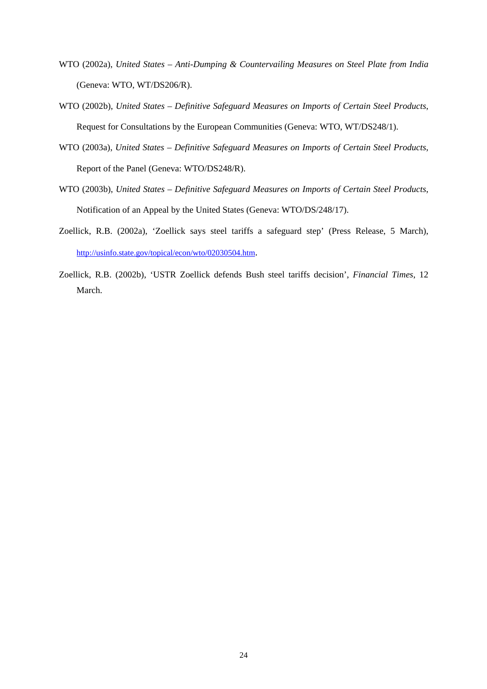- WTO (2002a), *United States Anti-Dumping & Countervailing Measures on Steel Plate from India* (Geneva: WTO, WT/DS206/R).
- WTO (2002b), *United States Definitive Safeguard Measures on Imports of Certain Steel Products*, Request for Consultations by the European Communities (Geneva: WTO, WT/DS248/1).
- WTO (2003a), *United States Definitive Safeguard Measures on Imports of Certain Steel Products*, Report of the Panel (Geneva: WTO/DS248/R).
- WTO (2003b), *United States Definitive Safeguard Measures on Imports of Certain Steel Products*, Notification of an Appeal by the United States (Geneva: WTO/DS/248/17).
- Zoellick, R.B. (2002a), 'Zoellick says steel tariffs a safeguard step' (Press Release, 5 March), <http://usinfo.state.gov/topical/econ/wto/02030504.htm.>
- Zoellick, R.B. (2002b), 'USTR Zoellick defends Bush steel tariffs decision', *Financial Times*, 12 March.